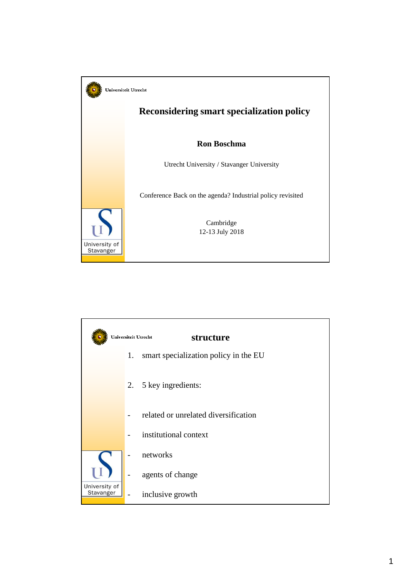

|               | Universiteit Utrecht | structure                             |
|---------------|----------------------|---------------------------------------|
|               | 1.                   | smart specialization policy in the EU |
|               |                      | 2. 5 key ingredients:                 |
|               |                      | related or unrelated diversification  |
|               |                      | institutional context                 |
|               |                      | networks                              |
| University of |                      | agents of change                      |
| Stavanger     |                      | inclusive growth                      |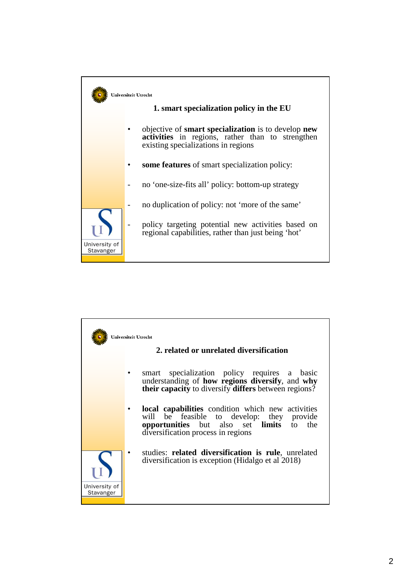

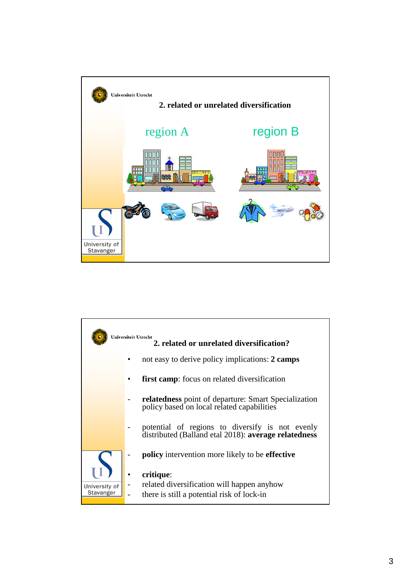

|                            | Universiteit Utrecht<br>2. related or unrelated diversification?                                          |
|----------------------------|-----------------------------------------------------------------------------------------------------------|
|                            | not easy to derive policy implications: 2 camps                                                           |
|                            | <b>first camp:</b> focus on related diversification                                                       |
|                            | <b>relatedness</b> point of departure: Smart Specialization<br>policy based on local related capabilities |
|                            | potential of regions to diversify is not evenly<br>distributed (Balland etal 2018): average relatedness   |
|                            | <b>policy</b> intervention more likely to be <b>effective</b>                                             |
| University of<br>Stavanger | critique:<br>related diversification will happen anyhow<br>there is still a potential risk of lock-in     |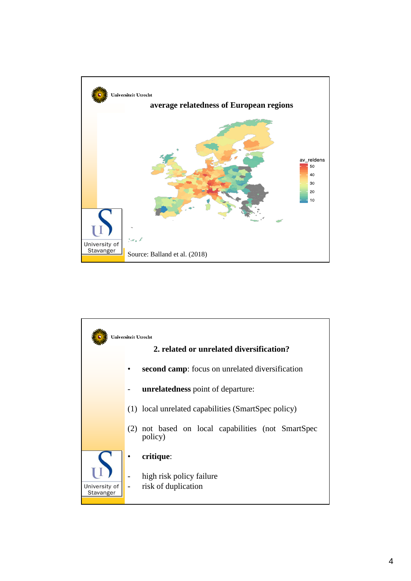

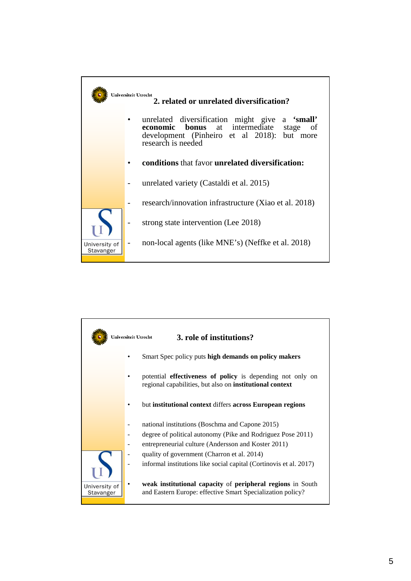

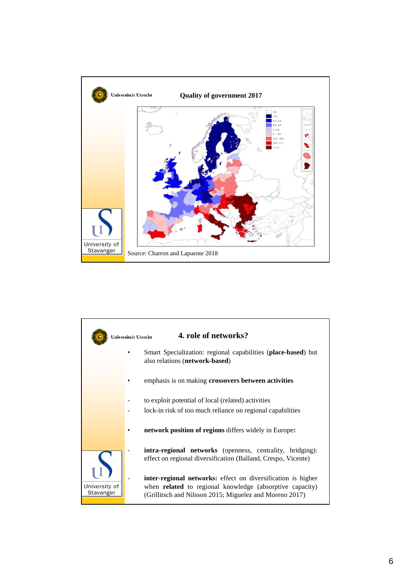

|                            | 4. role of networks?<br>Universiteit Utrecht                                                                                                                                                      |
|----------------------------|---------------------------------------------------------------------------------------------------------------------------------------------------------------------------------------------------|
|                            | Smart Specialization: regional capabilities (place-based) but<br>also relations (network-based)                                                                                                   |
|                            | emphasis is on making crossovers between activities                                                                                                                                               |
|                            | to exploit potential of local (related) activities                                                                                                                                                |
|                            | lock-in risk of too much reliance on regional capabilities                                                                                                                                        |
|                            | <b>network position of regions</b> differs widely in Europe:                                                                                                                                      |
| University of<br>Stavanger | <b>intra-regional networks</b> (openness, centrality, bridging):<br>effect on regional diversification (Balland, Crespo, Vicente)                                                                 |
|                            | <b>inter-regional networks:</b> effect on diversification is higher<br>when <b>related</b> to regional knowledge (absorptive capacity)<br>(Grillitsch and Nilsson 2015; Miguelez and Moreno 2017) |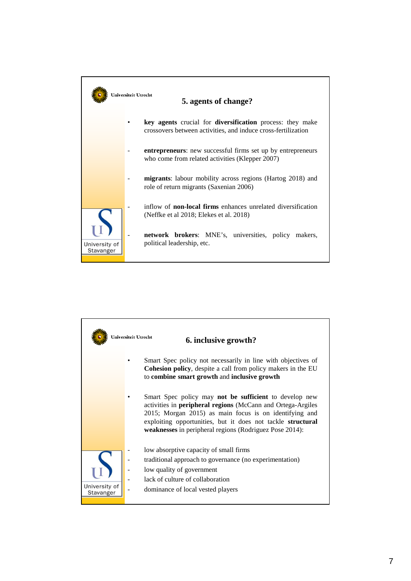

|                            | Universiteit Utrecht<br>6. inclusive growth?                                                                                                                                                                                                                                                                                   |
|----------------------------|--------------------------------------------------------------------------------------------------------------------------------------------------------------------------------------------------------------------------------------------------------------------------------------------------------------------------------|
|                            | Smart Spec policy not necessarily in line with objectives of<br><b>Cohesion policy</b> , despite a call from policy makers in the EU<br>to combine smart growth and inclusive growth                                                                                                                                           |
|                            | Smart Spec policy may <b>not be sufficient</b> to develop new<br>activities in <b>peripheral regions</b> (McCann and Ortega-Argiles<br>2015; Morgan 2015) as main focus is on identifying and<br>exploiting opportunities, but it does not tackle structural<br><b>weaknesses</b> in peripheral regions (Rodriguez Pose 2014): |
| University of<br>Stavanger | low absorptive capacity of small firms<br>traditional approach to governance (no experimentation)<br>low quality of government<br>lack of culture of collaboration<br>dominance of local vested players                                                                                                                        |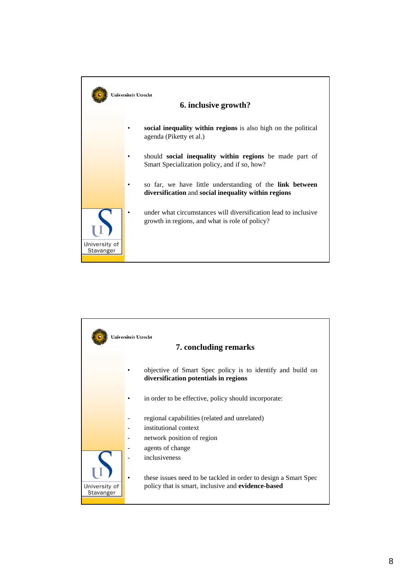

|                            | Universiteit Utrecht<br>7. concluding remarks                                                                         |
|----------------------------|-----------------------------------------------------------------------------------------------------------------------|
|                            | objective of Smart Spec policy is to identify and build on<br>diversification potentials in regions                   |
|                            | in order to be effective, policy should incorporate:                                                                  |
|                            | regional capabilities (related and unrelated)                                                                         |
|                            | institutional context                                                                                                 |
|                            | network position of region                                                                                            |
| University of<br>Stavanger | agents of change                                                                                                      |
|                            | inclusiveness                                                                                                         |
|                            | these issues need to be tackled in order to design a Smart Spec<br>policy that is smart, inclusive and evidence-based |